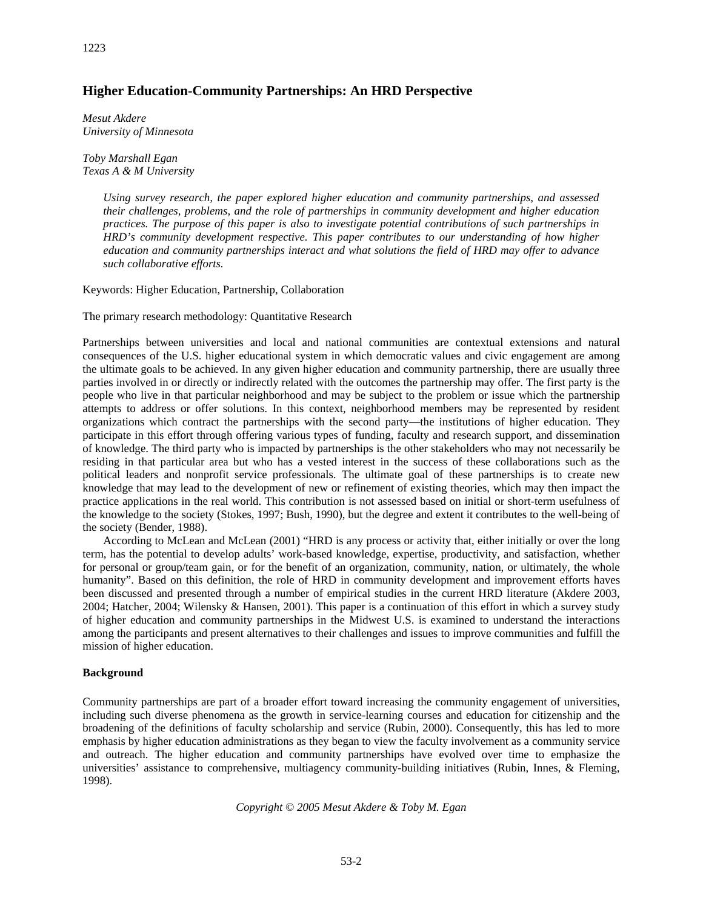# **Higher Education-Community Partnerships: An HRD Perspective**

*Mesut Akdere University of Minnesota*

*Toby Marshall Egan Texas A & M University* 

> *Using survey research, the paper explored higher education and community partnerships, and assessed their challenges, problems, and the role of partnerships in community development and higher education practices. The purpose of this paper is also to investigate potential contributions of such partnerships in HRD's community development respective. This paper contributes to our understanding of how higher education and community partnerships interact and what solutions the field of HRD may offer to advance such collaborative efforts.*

Keywords: Higher Education, Partnership, Collaboration

The primary research methodology: Quantitative Research

Partnerships between universities and local and national communities are contextual extensions and natural consequences of the U.S. higher educational system in which democratic values and civic engagement are among the ultimate goals to be achieved. In any given higher education and community partnership, there are usually three parties involved in or directly or indirectly related with the outcomes the partnership may offer. The first party is the people who live in that particular neighborhood and may be subject to the problem or issue which the partnership attempts to address or offer solutions. In this context, neighborhood members may be represented by resident organizations which contract the partnerships with the second party—the institutions of higher education. They participate in this effort through offering various types of funding, faculty and research support, and dissemination of knowledge. The third party who is impacted by partnerships is the other stakeholders who may not necessarily be residing in that particular area but who has a vested interest in the success of these collaborations such as the political leaders and nonprofit service professionals. The ultimate goal of these partnerships is to create new knowledge that may lead to the development of new or refinement of existing theories, which may then impact the practice applications in the real world. This contribution is not assessed based on initial or short-term usefulness of the knowledge to the society (Stokes, 1997; Bush, 1990), but the degree and extent it contributes to the well-being of the society (Bender, 1988).

According to McLean and McLean (2001) "HRD is any process or activity that, either initially or over the long term, has the potential to develop adults' work-based knowledge, expertise, productivity, and satisfaction, whether for personal or group/team gain, or for the benefit of an organization, community, nation, or ultimately, the whole humanity". Based on this definition, the role of HRD in community development and improvement efforts haves been discussed and presented through a number of empirical studies in the current HRD literature (Akdere 2003, 2004; Hatcher, 2004; Wilensky & Hansen, 2001). This paper is a continuation of this effort in which a survey study of higher education and community partnerships in the Midwest U.S. is examined to understand the interactions among the participants and present alternatives to their challenges and issues to improve communities and fulfill the mission of higher education.

## **Background**

Community partnerships are part of a broader effort toward increasing the community engagement of universities, including such diverse phenomena as the growth in service-learning courses and education for citizenship and the broadening of the definitions of faculty scholarship and service (Rubin, 2000). Consequently, this has led to more emphasis by higher education administrations as they began to view the faculty involvement as a community service and outreach. The higher education and community partnerships have evolved over time to emphasize the universities' assistance to comprehensive, multiagency community-building initiatives (Rubin, Innes, & Fleming, 1998).

*Copyright © 2005 Mesut Akdere & Toby M. Egan*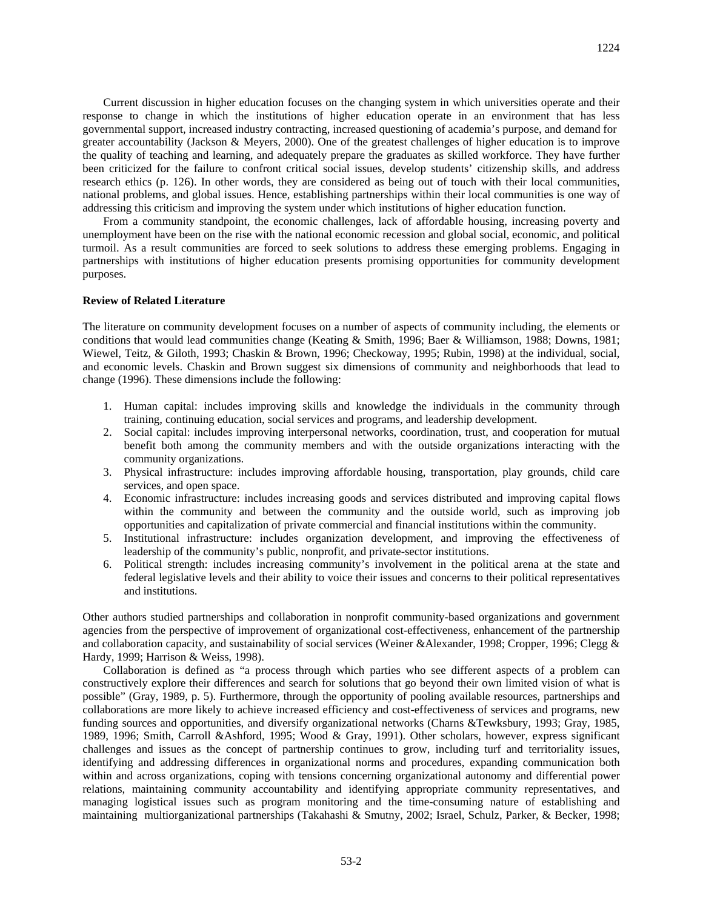Current discussion in higher education focuses on the changing system in which universities operate and their response to change in which the institutions of higher education operate in an environment that has less governmental support, increased industry contracting, increased questioning of academia's purpose, and demand for greater accountability (Jackson & Meyers, 2000). One of the greatest challenges of higher education is to improve the quality of teaching and learning, and adequately prepare the graduates as skilled workforce. They have further been criticized for the failure to confront critical social issues, develop students' citizenship skills, and address research ethics (p. 126). In other words, they are considered as being out of touch with their local communities, national problems, and global issues. Hence, establishing partnerships within their local communities is one way of addressing this criticism and improving the system under which institutions of higher education function.

From a community standpoint, the economic challenges, lack of affordable housing, increasing poverty and unemployment have been on the rise with the national economic recession and global social, economic, and political turmoil. As a result communities are forced to seek solutions to address these emerging problems. Engaging in partnerships with institutions of higher education presents promising opportunities for community development purposes.

#### **Review of Related Literature**

The literature on community development focuses on a number of aspects of community including, the elements or conditions that would lead communities change (Keating & Smith, 1996; Baer & Williamson, 1988; Downs, 1981; Wiewel, Teitz, & Giloth, 1993; Chaskin & Brown, 1996; Checkoway, 1995; Rubin, 1998) at the individual, social, and economic levels. Chaskin and Brown suggest six dimensions of community and neighborhoods that lead to change (1996). These dimensions include the following:

- 1. Human capital: includes improving skills and knowledge the individuals in the community through training, continuing education, social services and programs, and leadership development.
- 2. Social capital: includes improving interpersonal networks, coordination, trust, and cooperation for mutual benefit both among the community members and with the outside organizations interacting with the community organizations.
- 3. Physical infrastructure: includes improving affordable housing, transportation, play grounds, child care services, and open space.
- 4. Economic infrastructure: includes increasing goods and services distributed and improving capital flows within the community and between the community and the outside world, such as improving job opportunities and capitalization of private commercial and financial institutions within the community.
- 5. Institutional infrastructure: includes organization development, and improving the effectiveness of leadership of the community's public, nonprofit, and private-sector institutions.
- 6. Political strength: includes increasing community's involvement in the political arena at the state and federal legislative levels and their ability to voice their issues and concerns to their political representatives and institutions.

Other authors studied partnerships and collaboration in nonprofit community-based organizations and government agencies from the perspective of improvement of organizational cost-effectiveness, enhancement of the partnership and collaboration capacity, and sustainability of social services (Weiner &Alexander, 1998; Cropper, 1996; Clegg & Hardy, 1999; Harrison & Weiss, 1998).

Collaboration is defined as "a process through which parties who see different aspects of a problem can constructively explore their differences and search for solutions that go beyond their own limited vision of what is possible" (Gray, 1989, p. 5). Furthermore, through the opportunity of pooling available resources, partnerships and collaborations are more likely to achieve increased efficiency and cost-effectiveness of services and programs, new funding sources and opportunities, and diversify organizational networks (Charns &Tewksbury, 1993; Gray, 1985, 1989, 1996; Smith, Carroll &Ashford, 1995; Wood & Gray, 1991). Other scholars, however, express significant challenges and issues as the concept of partnership continues to grow, including turf and territoriality issues, identifying and addressing differences in organizational norms and procedures, expanding communication both within and across organizations, coping with tensions concerning organizational autonomy and differential power relations, maintaining community accountability and identifying appropriate community representatives, and managing logistical issues such as program monitoring and the time-consuming nature of establishing and maintaining multiorganizational partnerships (Takahashi & Smutny, 2002; Israel, Schulz, Parker, & Becker, 1998;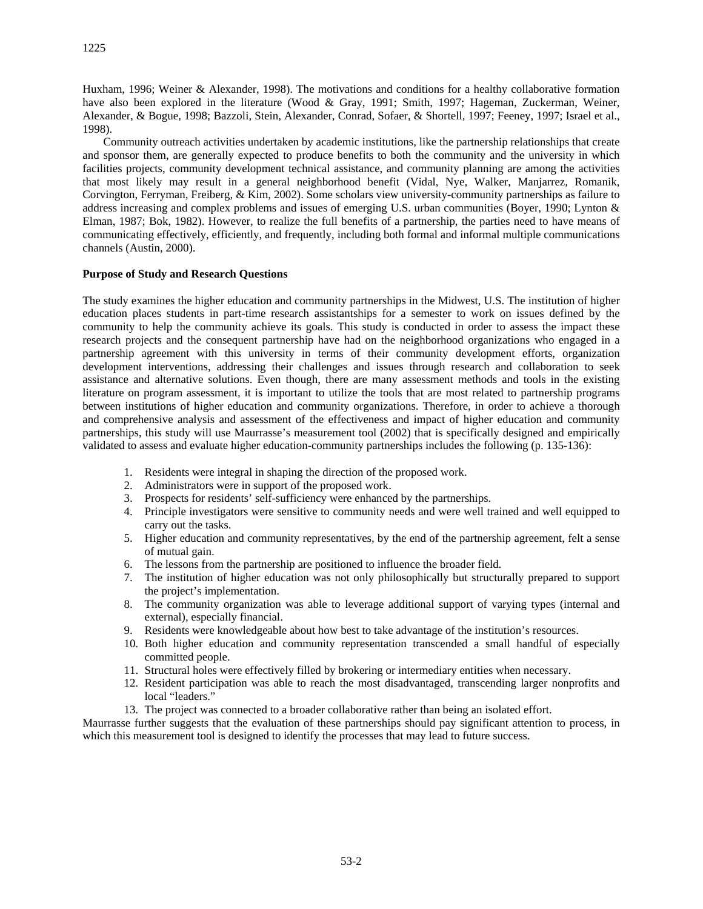Huxham, 1996; Weiner & Alexander, 1998). The motivations and conditions for a healthy collaborative formation have also been explored in the literature (Wood & Gray, 1991; Smith, 1997; Hageman, Zuckerman, Weiner, Alexander, & Bogue, 1998; Bazzoli, Stein, Alexander, Conrad, Sofaer, & Shortell, 1997; Feeney, 1997; Israel et al., 1998).

Community outreach activities undertaken by academic institutions, like the partnership relationships that create and sponsor them, are generally expected to produce benefits to both the community and the university in which facilities projects, community development technical assistance, and community planning are among the activities that most likely may result in a general neighborhood benefit (Vidal, Nye, Walker, Manjarrez, Romanik, Corvington, Ferryman, Freiberg, & Kim, 2002). Some scholars view university-community partnerships as failure to address increasing and complex problems and issues of emerging U.S. urban communities (Boyer, 1990; Lynton & Elman, 1987; Bok, 1982). However, to realize the full benefits of a partnership, the parties need to have means of communicating effectively, efficiently, and frequently, including both formal and informal multiple communications channels (Austin, 2000).

## **Purpose of Study and Research Questions**

The study examines the higher education and community partnerships in the Midwest, U.S. The institution of higher education places students in part-time research assistantships for a semester to work on issues defined by the community to help the community achieve its goals. This study is conducted in order to assess the impact these research projects and the consequent partnership have had on the neighborhood organizations who engaged in a partnership agreement with this university in terms of their community development efforts, organization development interventions, addressing their challenges and issues through research and collaboration to seek assistance and alternative solutions. Even though, there are many assessment methods and tools in the existing literature on program assessment, it is important to utilize the tools that are most related to partnership programs between institutions of higher education and community organizations. Therefore, in order to achieve a thorough and comprehensive analysis and assessment of the effectiveness and impact of higher education and community partnerships, this study will use Maurrasse's measurement tool (2002) that is specifically designed and empirically validated to assess and evaluate higher education-community partnerships includes the following (p. 135-136):

- 1. Residents were integral in shaping the direction of the proposed work.
- 2. Administrators were in support of the proposed work.
- 3. Prospects for residents' self-sufficiency were enhanced by the partnerships.
- 4. Principle investigators were sensitive to community needs and were well trained and well equipped to carry out the tasks.
- 5. Higher education and community representatives, by the end of the partnership agreement, felt a sense of mutual gain.
- 6. The lessons from the partnership are positioned to influence the broader field.
- 7. The institution of higher education was not only philosophically but structurally prepared to support the project's implementation.
- 8. The community organization was able to leverage additional support of varying types (internal and external), especially financial.
- 9. Residents were knowledgeable about how best to take advantage of the institution's resources.
- 10. Both higher education and community representation transcended a small handful of especially committed people.
- 11. Structural holes were effectively filled by brokering or intermediary entities when necessary.
- 12. Resident participation was able to reach the most disadvantaged, transcending larger nonprofits and local "leaders."
- 13. The project was connected to a broader collaborative rather than being an isolated effort.

Maurrasse further suggests that the evaluation of these partnerships should pay significant attention to process, in which this measurement tool is designed to identify the processes that may lead to future success.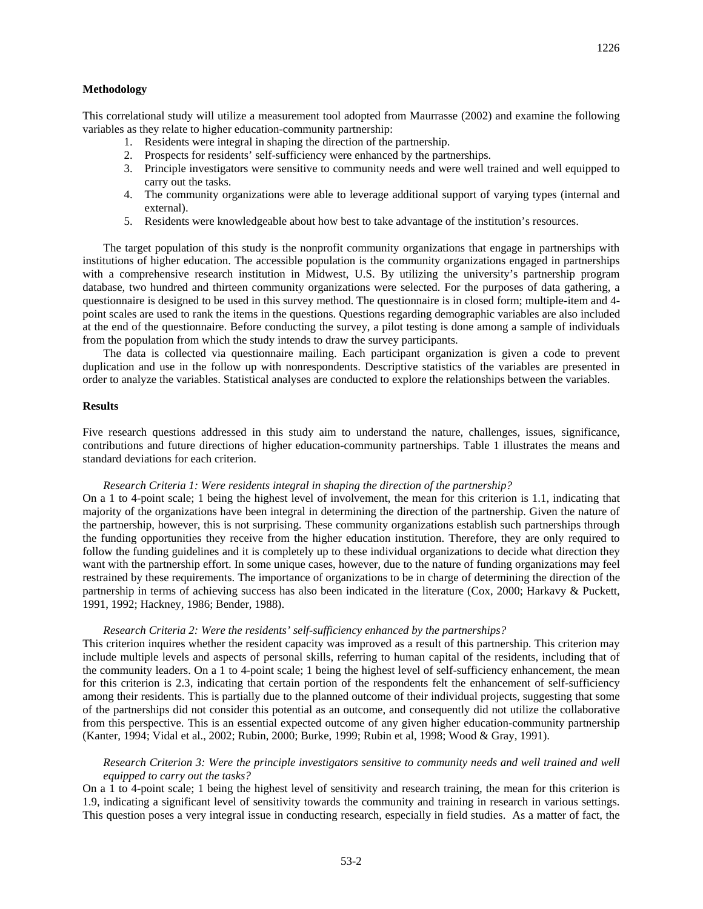#### **Methodology**

This correlational study will utilize a measurement tool adopted from Maurrasse (2002) and examine the following variables as they relate to higher education-community partnership:

- 1. Residents were integral in shaping the direction of the partnership.
- 2. Prospects for residents' self-sufficiency were enhanced by the partnerships.
- 3. Principle investigators were sensitive to community needs and were well trained and well equipped to carry out the tasks.
- 4. The community organizations were able to leverage additional support of varying types (internal and external).
- 5. Residents were knowledgeable about how best to take advantage of the institution's resources.

The target population of this study is the nonprofit community organizations that engage in partnerships with institutions of higher education. The accessible population is the community organizations engaged in partnerships with a comprehensive research institution in Midwest, U.S. By utilizing the university's partnership program database, two hundred and thirteen community organizations were selected. For the purposes of data gathering, a questionnaire is designed to be used in this survey method. The questionnaire is in closed form; multiple-item and 4 point scales are used to rank the items in the questions. Questions regarding demographic variables are also included at the end of the questionnaire. Before conducting the survey, a pilot testing is done among a sample of individuals from the population from which the study intends to draw the survey participants.

The data is collected via questionnaire mailing. Each participant organization is given a code to prevent duplication and use in the follow up with nonrespondents. Descriptive statistics of the variables are presented in order to analyze the variables. Statistical analyses are conducted to explore the relationships between the variables.

#### **Results**

Five research questions addressed in this study aim to understand the nature, challenges, issues, significance, contributions and future directions of higher education-community partnerships. Table 1 illustrates the means and standard deviations for each criterion.

### *Research Criteria 1: Were residents integral in shaping the direction of the partnership?*

On a 1 to 4-point scale; 1 being the highest level of involvement, the mean for this criterion is 1.1, indicating that majority of the organizations have been integral in determining the direction of the partnership. Given the nature of the partnership, however, this is not surprising. These community organizations establish such partnerships through the funding opportunities they receive from the higher education institution. Therefore, they are only required to follow the funding guidelines and it is completely up to these individual organizations to decide what direction they want with the partnership effort. In some unique cases, however, due to the nature of funding organizations may feel restrained by these requirements. The importance of organizations to be in charge of determining the direction of the partnership in terms of achieving success has also been indicated in the literature (Cox, 2000; Harkavy & Puckett, 1991, 1992; Hackney, 1986; Bender, 1988).

### *Research Criteria 2: Were the residents' self-sufficiency enhanced by the partnerships?*

This criterion inquires whether the resident capacity was improved as a result of this partnership. This criterion may include multiple levels and aspects of personal skills, referring to human capital of the residents, including that of the community leaders. On a 1 to 4-point scale; 1 being the highest level of self-sufficiency enhancement, the mean for this criterion is 2.3, indicating that certain portion of the respondents felt the enhancement of self-sufficiency among their residents. This is partially due to the planned outcome of their individual projects, suggesting that some of the partnerships did not consider this potential as an outcome, and consequently did not utilize the collaborative from this perspective. This is an essential expected outcome of any given higher education-community partnership (Kanter, 1994; Vidal et al., 2002; Rubin, 2000; Burke, 1999; Rubin et al, 1998; Wood & Gray, 1991).

## *Research Criterion 3: Were the principle investigators sensitive to community needs and well trained and well equipped to carry out the tasks?*

On a 1 to 4-point scale; 1 being the highest level of sensitivity and research training, the mean for this criterion is 1.9, indicating a significant level of sensitivity towards the community and training in research in various settings. This question poses a very integral issue in conducting research, especially in field studies. As a matter of fact, the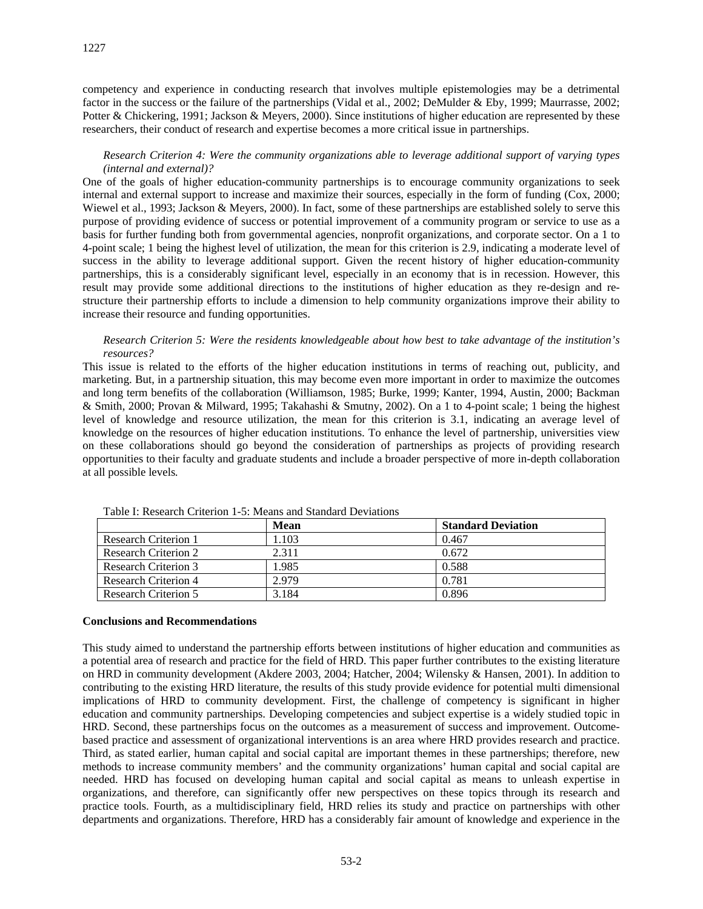competency and experience in conducting research that involves multiple epistemologies may be a detrimental factor in the success or the failure of the partnerships (Vidal et al., 2002; DeMulder & Eby, 1999; Maurrasse, 2002; Potter & Chickering, 1991; Jackson & Meyers, 2000). Since institutions of higher education are represented by these researchers, their conduct of research and expertise becomes a more critical issue in partnerships.

## *Research Criterion 4: Were the community organizations able to leverage additional support of varying types (internal and external)?*

One of the goals of higher education-community partnerships is to encourage community organizations to seek internal and external support to increase and maximize their sources, especially in the form of funding (Cox, 2000; Wiewel et al., 1993; Jackson & Meyers, 2000). In fact, some of these partnerships are established solely to serve this purpose of providing evidence of success or potential improvement of a community program or service to use as a basis for further funding both from governmental agencies, nonprofit organizations, and corporate sector. On a 1 to 4-point scale; 1 being the highest level of utilization, the mean for this criterion is 2.9, indicating a moderate level of success in the ability to leverage additional support. Given the recent history of higher education-community partnerships, this is a considerably significant level, especially in an economy that is in recession. However, this result may provide some additional directions to the institutions of higher education as they re-design and restructure their partnership efforts to include a dimension to help community organizations improve their ability to increase their resource and funding opportunities.

### *Research Criterion 5: Were the residents knowledgeable about how best to take advantage of the institution's resources?*

This issue is related to the efforts of the higher education institutions in terms of reaching out, publicity, and marketing. But, in a partnership situation, this may become even more important in order to maximize the outcomes and long term benefits of the collaboration (Williamson, 1985; Burke, 1999; Kanter, 1994, Austin, 2000; Backman & Smith, 2000; Provan & Milward, 1995; Takahashi & Smutny, 2002). On a 1 to 4-point scale; 1 being the highest level of knowledge and resource utilization, the mean for this criterion is 3.1, indicating an average level of knowledge on the resources of higher education institutions. To enhance the level of partnership, universities view on these collaborations should go beyond the consideration of partnerships as projects of providing research opportunities to their faculty and graduate students and include a broader perspective of more in-depth collaboration at all possible levels*.* 

| Tuote II Tuotui oli Olitoitoit T-o Fittuito ulla puhitutta D-o Huttoilo |       |                           |
|-------------------------------------------------------------------------|-------|---------------------------|
|                                                                         | Mean  | <b>Standard Deviation</b> |
| Research Criterion 1                                                    | .103  | 0.467                     |
| Research Criterion 2                                                    | 2.311 | 0.672                     |
| Research Criterion 3                                                    | 1.985 | 0.588                     |
| Research Criterion 4                                                    | 2.979 | 0.781                     |
| Research Criterion 5                                                    | 3.184 | 0.896                     |

Table I: Research Criterion 1-5: Means and Standard Deviations

### **Conclusions and Recommendations**

This study aimed to understand the partnership efforts between institutions of higher education and communities as a potential area of research and practice for the field of HRD. This paper further contributes to the existing literature on HRD in community development (Akdere 2003, 2004; Hatcher, 2004; Wilensky & Hansen, 2001). In addition to contributing to the existing HRD literature, the results of this study provide evidence for potential multi dimensional implications of HRD to community development. First, the challenge of competency is significant in higher education and community partnerships. Developing competencies and subject expertise is a widely studied topic in HRD. Second, these partnerships focus on the outcomes as a measurement of success and improvement. Outcomebased practice and assessment of organizational interventions is an area where HRD provides research and practice. Third, as stated earlier, human capital and social capital are important themes in these partnerships; therefore, new methods to increase community members' and the community organizations' human capital and social capital are needed. HRD has focused on developing human capital and social capital as means to unleash expertise in organizations, and therefore, can significantly offer new perspectives on these topics through its research and practice tools. Fourth, as a multidisciplinary field, HRD relies its study and practice on partnerships with other departments and organizations. Therefore, HRD has a considerably fair amount of knowledge and experience in the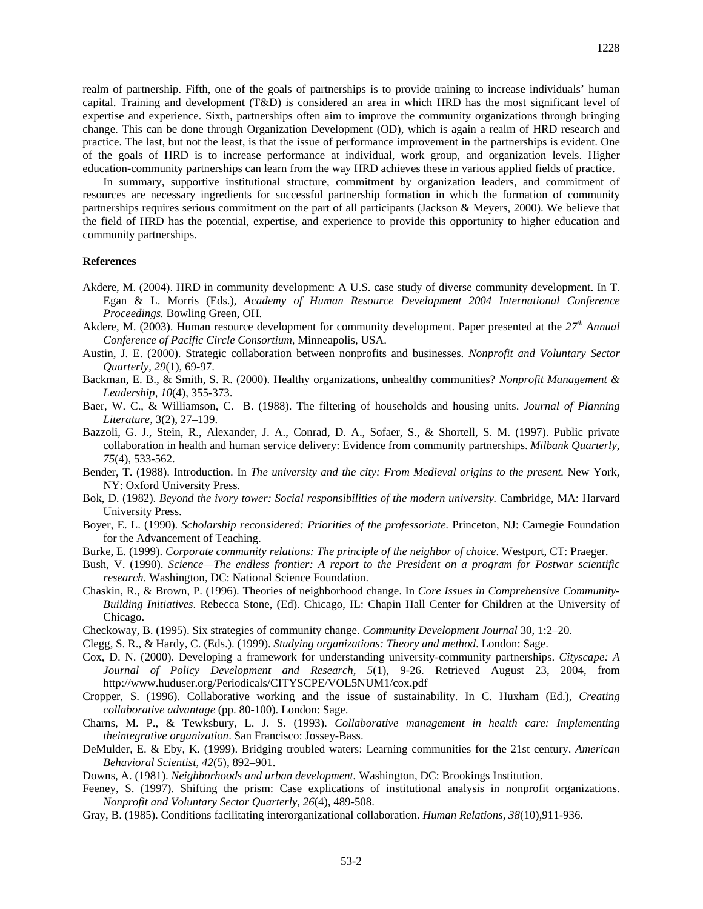realm of partnership. Fifth, one of the goals of partnerships is to provide training to increase individuals' human capital. Training and development (T&D) is considered an area in which HRD has the most significant level of expertise and experience. Sixth, partnerships often aim to improve the community organizations through bringing change. This can be done through Organization Development (OD), which is again a realm of HRD research and practice. The last, but not the least, is that the issue of performance improvement in the partnerships is evident. One of the goals of HRD is to increase performance at individual, work group, and organization levels. Higher education-community partnerships can learn from the way HRD achieves these in various applied fields of practice.

In summary, supportive institutional structure, commitment by organization leaders, and commitment of resources are necessary ingredients for successful partnership formation in which the formation of community partnerships requires serious commitment on the part of all participants (Jackson & Meyers, 2000). We believe that the field of HRD has the potential, expertise, and experience to provide this opportunity to higher education and community partnerships.

#### **References**

- Akdere, M. (2004). HRD in community development: A U.S. case study of diverse community development. In T. Egan & L. Morris (Eds.), *Academy of Human Resource Development 2004 International Conference Proceedings.* Bowling Green, OH.
- Akdere, M. (2003). Human resource development for community development. Paper presented at the  $27<sup>th</sup>$  Annual *Conference of Pacific Circle Consortium,* Minneapolis, USA.
- Austin, J. E. (2000). Strategic collaboration between nonprofits and businesses. *Nonprofit and Voluntary Sector Quarterly, 29*(1), 69-97.
- Backman, E. B., & Smith, S. R. (2000). Healthy organizations, unhealthy communities? *Nonprofit Management & Leadership*, *10*(4), 355-373.
- Baer, W. C., & Williamson, C. B. (1988). The filtering of households and housing units. *Journal of Planning Literature,* 3(2), 27–139.
- Bazzoli, G. J., Stein, R., Alexander, J. A., Conrad, D. A., Sofaer, S., & Shortell, S. M. (1997). Public private collaboration in health and human service delivery: Evidence from community partnerships. *Milbank Quarterly*, *75*(4), 533-562.
- Bender, T. (1988). Introduction. In *The university and the city: From Medieval origins to the present*. New York, NY: Oxford University Press.
- Bok, D. (1982). *Beyond the ivory tower: Social responsibilities of the modern university.* Cambridge, MA: Harvard University Press.
- Boyer, E. L. (1990). *Scholarship reconsidered: Priorities of the professoriate.* Princeton, NJ: Carnegie Foundation for the Advancement of Teaching.
- Burke, E. (1999). *Corporate community relations: The principle of the neighbor of choice*. Westport, CT: Praeger.
- Bush, V. (1990). *Science—The endless frontier: A report to the President on a program for Postwar scientific research.* Washington, DC: National Science Foundation.
- Chaskin, R., & Brown, P. (1996). Theories of neighborhood change. In *Core Issues in Comprehensive Community-Building Initiatives*. Rebecca Stone, (Ed). Chicago, IL: Chapin Hall Center for Children at the University of Chicago.
- Checkoway, B. (1995). Six strategies of community change. *Community Development Journal* 30, 1:2–20.
- Clegg, S. R., & Hardy, C. (Eds.). (1999). *Studying organizations: Theory and method*. London: Sage.
- Cox, D. N. (2000). Developing a framework for understanding university-community partnerships. *Cityscape: A Journal of Policy Development and Research, 5*(1), 9-26. Retrieved August 23, 2004, from http://www.huduser.org/Periodicals/CITYSCPE/VOL5NUM1/cox.pdf
- Cropper, S. (1996). Collaborative working and the issue of sustainability. In C. Huxham (Ed.), *Creating collaborative advantage* (pp. 80-100). London: Sage.
- Charns, M. P., & Tewksbury, L. J. S. (1993). *Collaborative management in health care: Implementing theintegrative organization*. San Francisco: Jossey-Bass.
- DeMulder, E. & Eby, K. (1999). Bridging troubled waters: Learning communities for the 21st century. *American Behavioral Scientist, 42*(5), 892–901.
- Downs, A. (1981). *Neighborhoods and urban development.* Washington, DC: Brookings Institution.
- Feeney, S. (1997). Shifting the prism: Case explications of institutional analysis in nonprofit organizations. *Nonprofit and Voluntary Sector Quarterly*, *26*(4), 489-508.
- Gray, B. (1985). Conditions facilitating interorganizational collaboration. *Human Relations*, *38*(10),911-936.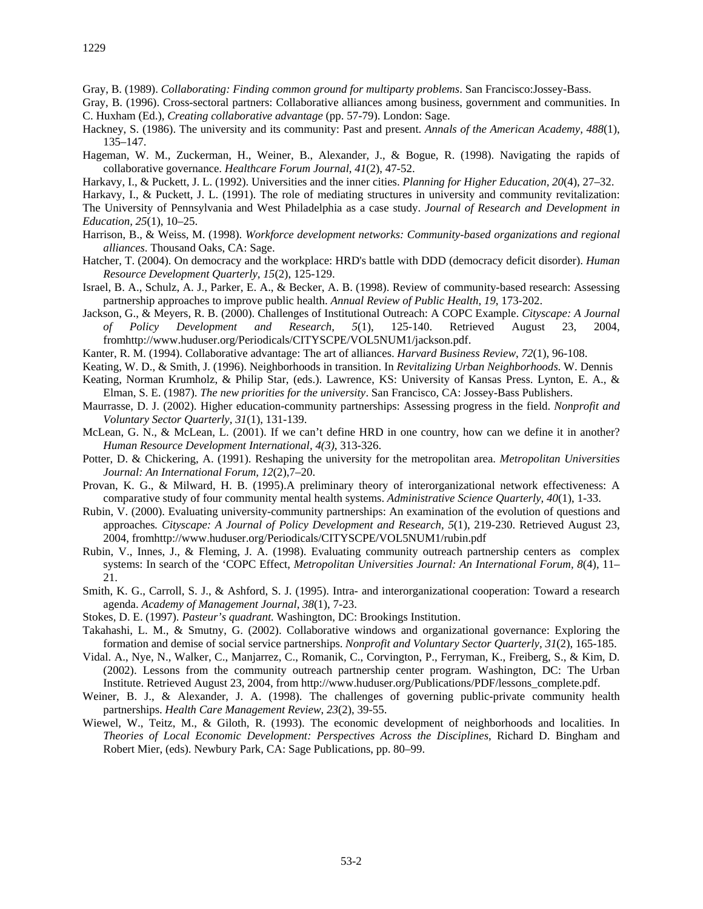Gray, B. (1989). *Collaborating: Finding common ground for multiparty problems*. San Francisco:Jossey-Bass.

Gray, B. (1996). Cross-sectoral partners: Collaborative alliances among business, government and communities. In C. Huxham (Ed.), *Creating collaborative advantage* (pp. 57-79). London: Sage.

- Hackney, S. (1986). The university and its community: Past and present. *Annals of the American Academy, 488*(1), 135–147.
- Hageman, W. M., Zuckerman, H., Weiner, B., Alexander, J., & Bogue, R. (1998). Navigating the rapids of collaborative governance. *Healthcare Forum Journal*, *41*(2), 47-52.
- Harkavy, I., & Puckett, J. L. (1992). Universities and the inner cities. *Planning for Higher Education, 20*(4), 27–32.
- Harkavy, I., & Puckett, J. L. (1991). The role of mediating structures in university and community revitalization:
- The University of Pennsylvania and West Philadelphia as a case study. *Journal of Research and Development in Education, 25*(1), 10–25.
- Harrison, B., & Weiss, M. (1998). *Workforce development networks: Community-based organizations and regional alliances*. Thousand Oaks, CA: Sage.
- Hatcher, T. (2004). On democracy and the workplace: HRD's battle with DDD (democracy deficit disorder). *Human Resource Development Quarterly, 15*(2), 125-129.
- Israel, B. A., Schulz, A. J., Parker, E. A., & Becker, A. B. (1998). Review of community-based research: Assessing partnership approaches to improve public health. *Annual Review of Public Health*, *19*, 173-202.
- Jackson, G., & Meyers, R. B. (2000). Challenges of Institutional Outreach: A COPC Example. *Cityscape: A Journal of Policy Development and Research, 5*(1), 125-140. Retrieved August 23, 2004, fromhttp://www.huduser.org/Periodicals/CITYSCPE/VOL5NUM1/jackson.pdf.
- Kanter, R. M. (1994). Collaborative advantage: The art of alliances. *Harvard Business Review*, *72*(1), 96-108.
- Keating, W. D., & Smith, J. (1996). Neighborhoods in transition. In *Revitalizing Urban Neighborhoods*. W. Dennis
- Keating, Norman Krumholz, & Philip Star, (eds.). Lawrence, KS: University of Kansas Press. Lynton, E. A., & Elman, S. E. (1987). *The new priorities for the university*. San Francisco, CA: Jossey-Bass Publishers.
- Maurrasse, D. J. (2002). Higher education-community partnerships: Assessing progress in the field. *Nonprofit and Voluntary Sector Quarterly, 31*(1), 131-139.
- McLean, G. N., & McLean, L. (2001). If we can't define HRD in one country, how can we define it in another? *Human Resource Development International, 4(3),* 313-326.
- Potter, D. & Chickering, A. (1991). Reshaping the university for the metropolitan area. *Metropolitan Universities Journal: An International Forum, 12*(2),7–20.
- Provan, K. G., & Milward, H. B. (1995).A preliminary theory of interorganizational network effectiveness: A comparative study of four community mental health systems. *Administrative Science Quarterly*, *40*(1), 1-33.
- Rubin, V. (2000). Evaluating university-community partnerships: An examination of the evolution of questions and approaches*. Cityscape: A Journal of Policy Development and Research, 5*(1), 219-230. Retrieved August 23, 2004, fromhttp://www.huduser.org/Periodicals/CITYSCPE/VOL5NUM1/rubin.pdf
- Rubin, V., Innes, J., & Fleming, J. A. (1998). Evaluating community outreach partnership centers as complex systems: In search of the 'COPC Effect, *Metropolitan Universities Journal: An International Forum, 8*(4), 11– 21.
- Smith, K. G., Carroll, S. J., & Ashford, S. J. (1995). Intra- and interorganizational cooperation: Toward a research agenda. *Academy of Management Journal*, *38*(1), 7-23.
- Stokes, D. E. (1997). *Pasteur's quadrant.* Washington, DC: Brookings Institution.
- Takahashi, L. M., & Smutny, G. (2002). Collaborative windows and organizational governance: Exploring the formation and demise of social service partnerships. *Nonprofit and Voluntary Sector Quarterly, 31*(2), 165-185.
- Vidal. A., Nye, N., Walker, C., Manjarrez, C., Romanik, C., Corvington, P., Ferryman, K., Freiberg, S., & Kim, D. (2002). Lessons from the community outreach partnership center program. Washington, DC: The Urban Institute. Retrieved August 23, 2004, from http://www.huduser.org/Publications/PDF/lessons\_complete.pdf.
- Weiner, B. J., & Alexander, J. A. (1998). The challenges of governing public-private community health partnerships. *Health Care Management Review*, *23*(2), 39-55.
- Wiewel, W., Teitz, M., & Giloth, R. (1993). The economic development of neighborhoods and localities. In *Theories of Local Economic Development: Perspectives Across the Disciplines*, Richard D. Bingham and Robert Mier, (eds). Newbury Park, CA: Sage Publications, pp. 80–99.